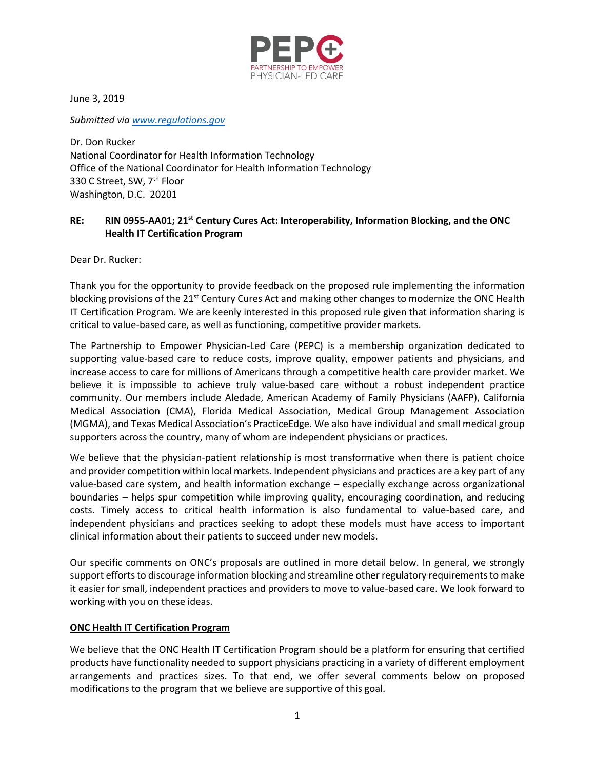

June 3, 2019

*Submitted via [www.regulations.gov](http://www.regulations.gov/)*

Dr. Don Rucker National Coordinator for Health Information Technology Office of the National Coordinator for Health Information Technology 330 C Street, SW, 7<sup>th</sup> Floor Washington, D.C. 20201

# **RE: RIN 0955-AA01; 21st Century Cures Act: Interoperability, Information Blocking, and the ONC Health IT Certification Program**

Dear Dr. Rucker:

Thank you for the opportunity to provide feedback on the proposed rule implementing the information blocking provisions of the 21<sup>st</sup> Century Cures Act and making other changes to modernize the ONC Health IT Certification Program. We are keenly interested in this proposed rule given that information sharing is critical to value-based care, as well as functioning, competitive provider markets.

The Partnership to Empower Physician-Led Care (PEPC) is a membership organization dedicated to supporting value-based care to reduce costs, improve quality, empower patients and physicians, and increase access to care for millions of Americans through a competitive health care provider market. We believe it is impossible to achieve truly value-based care without a robust independent practice community. Our members include Aledade, American Academy of Family Physicians (AAFP), California Medical Association (CMA), Florida Medical Association, Medical Group Management Association (MGMA), and Texas Medical Association's PracticeEdge. We also have individual and small medical group supporters across the country, many of whom are independent physicians or practices.

We believe that the physician-patient relationship is most transformative when there is patient choice and provider competition within local markets. Independent physicians and practices are a key part of any value-based care system, and health information exchange – especially exchange across organizational boundaries – helps spur competition while improving quality, encouraging coordination, and reducing costs. Timely access to critical health information is also fundamental to value-based care, and independent physicians and practices seeking to adopt these models must have access to important clinical information about their patients to succeed under new models.

Our specific comments on ONC's proposals are outlined in more detail below. In general, we strongly support efforts to discourage information blocking and streamline other regulatory requirements to make it easier for small, independent practices and providers to move to value-based care. We look forward to working with you on these ideas.

## **ONC Health IT Certification Program**

We believe that the ONC Health IT Certification Program should be a platform for ensuring that certified products have functionality needed to support physicians practicing in a variety of different employment arrangements and practices sizes. To that end, we offer several comments below on proposed modifications to the program that we believe are supportive of this goal.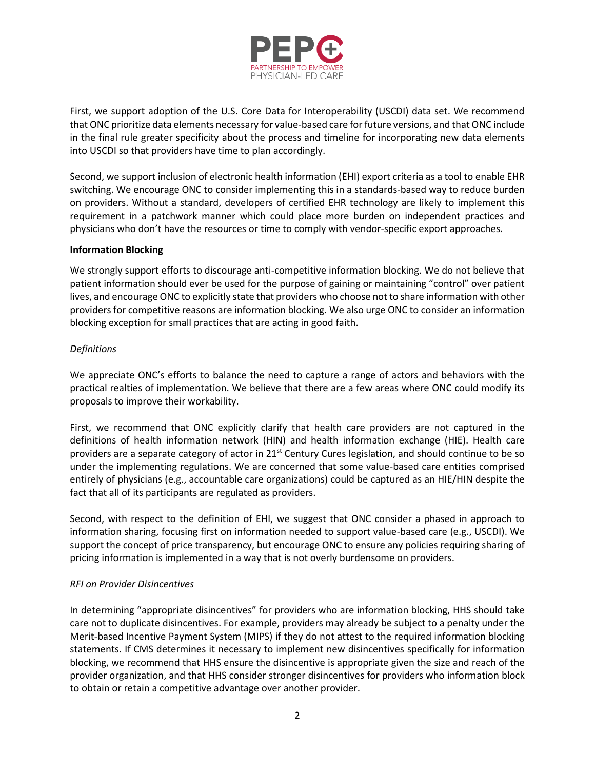

First, we support adoption of the U.S. Core Data for Interoperability (USCDI) data set. We recommend that ONC prioritize data elements necessary for value-based care for future versions, and that ONC include in the final rule greater specificity about the process and timeline for incorporating new data elements into USCDI so that providers have time to plan accordingly.

Second, we support inclusion of electronic health information (EHI) export criteria as a tool to enable EHR switching. We encourage ONC to consider implementing this in a standards-based way to reduce burden on providers. Without a standard, developers of certified EHR technology are likely to implement this requirement in a patchwork manner which could place more burden on independent practices and physicians who don't have the resources or time to comply with vendor-specific export approaches.

## **Information Blocking**

We strongly support efforts to discourage anti-competitive information blocking. We do not believe that patient information should ever be used for the purpose of gaining or maintaining "control" over patient lives, and encourage ONC to explicitly state that providers who choose not to share information with other providers for competitive reasons are information blocking. We also urge ONC to consider an information blocking exception for small practices that are acting in good faith.

# *Definitions*

We appreciate ONC's efforts to balance the need to capture a range of actors and behaviors with the practical realties of implementation. We believe that there are a few areas where ONC could modify its proposals to improve their workability.

First, we recommend that ONC explicitly clarify that health care providers are not captured in the definitions of health information network (HIN) and health information exchange (HIE). Health care providers are a separate category of actor in 21st Century Cures legislation, and should continue to be so under the implementing regulations. We are concerned that some value-based care entities comprised entirely of physicians (e.g., accountable care organizations) could be captured as an HIE/HIN despite the fact that all of its participants are regulated as providers.

Second, with respect to the definition of EHI, we suggest that ONC consider a phased in approach to information sharing, focusing first on information needed to support value-based care (e.g., USCDI). We support the concept of price transparency, but encourage ONC to ensure any policies requiring sharing of pricing information is implemented in a way that is not overly burdensome on providers.

## *RFI on Provider Disincentives*

In determining "appropriate disincentives" for providers who are information blocking, HHS should take care not to duplicate disincentives. For example, providers may already be subject to a penalty under the Merit-based Incentive Payment System (MIPS) if they do not attest to the required information blocking statements. If CMS determines it necessary to implement new disincentives specifically for information blocking, we recommend that HHS ensure the disincentive is appropriate given the size and reach of the provider organization, and that HHS consider stronger disincentives for providers who information block to obtain or retain a competitive advantage over another provider.